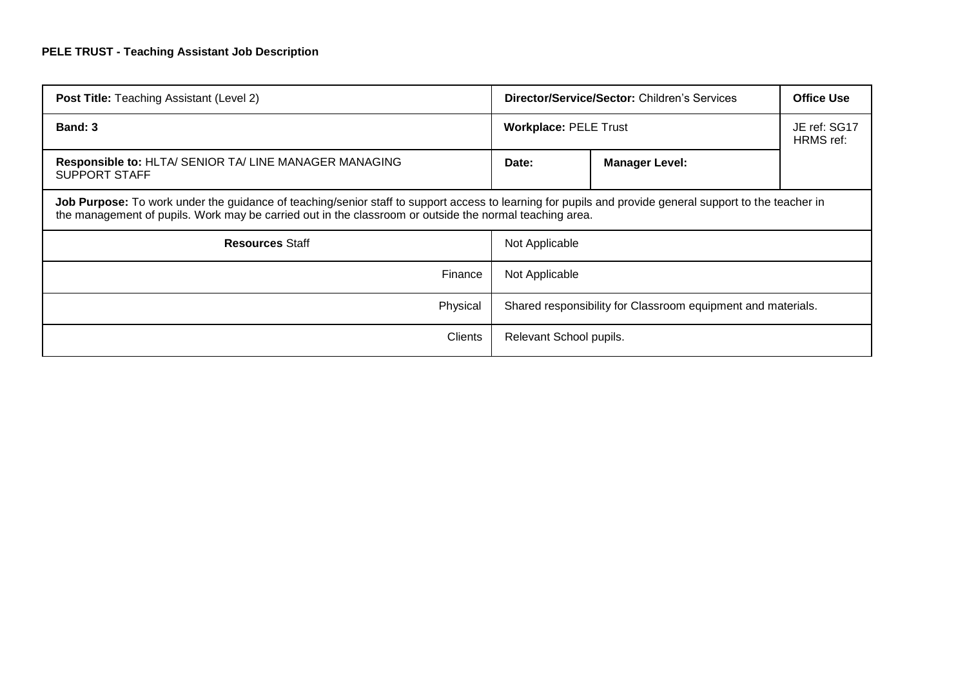| <b>Post Title: Teaching Assistant (Level 2)</b>                                                                                                                                                                                                                    | <b>Director/Service/Sector: Children's Services</b>          |                       | <b>Office Use</b>         |  |  |
|--------------------------------------------------------------------------------------------------------------------------------------------------------------------------------------------------------------------------------------------------------------------|--------------------------------------------------------------|-----------------------|---------------------------|--|--|
| Band: 3                                                                                                                                                                                                                                                            | <b>Workplace: PELE Trust</b>                                 |                       | JE ref: SG17<br>HRMS ref: |  |  |
| <b>Responsible to: HLTA/ SENIOR TA/ LINE MANAGER MANAGING</b><br>SUPPORT STAFF                                                                                                                                                                                     | Date:                                                        | <b>Manager Level:</b> |                           |  |  |
| Job Purpose: To work under the guidance of teaching/senior staff to support access to learning for pupils and provide general support to the teacher in<br>the management of pupils. Work may be carried out in the classroom or outside the normal teaching area. |                                                              |                       |                           |  |  |
| <b>Resources Staff</b>                                                                                                                                                                                                                                             | Not Applicable                                               |                       |                           |  |  |
| Finance                                                                                                                                                                                                                                                            | Not Applicable                                               |                       |                           |  |  |
| Physical                                                                                                                                                                                                                                                           | Shared responsibility for Classroom equipment and materials. |                       |                           |  |  |
| <b>Clients</b>                                                                                                                                                                                                                                                     | Relevant School pupils.                                      |                       |                           |  |  |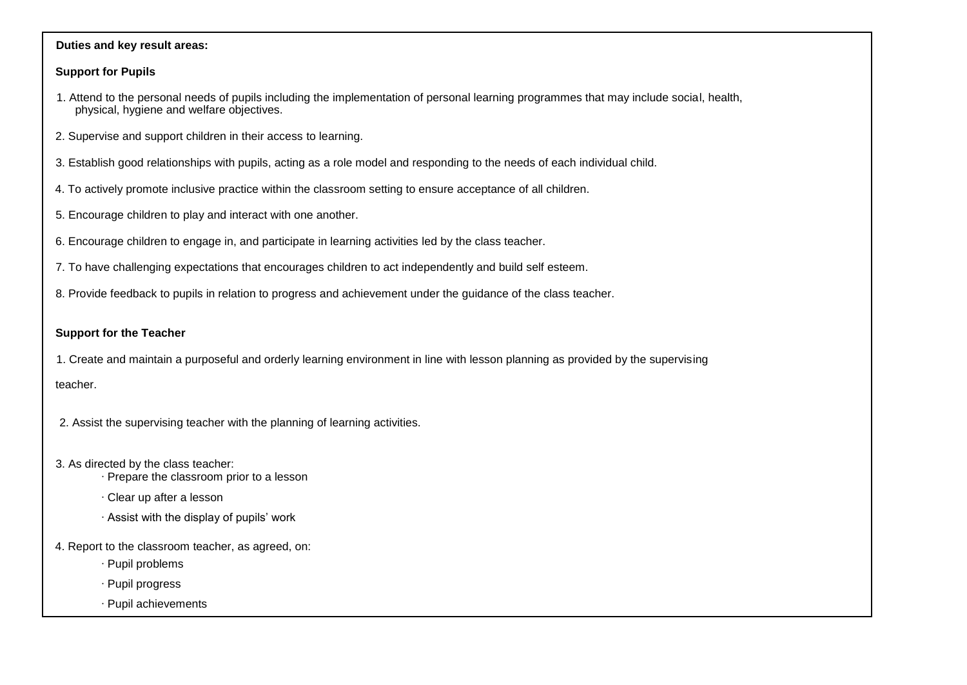#### **Duties and key result areas:**

## **Support for Pupils**

- 1. Attend to the personal needs of pupils including the implementation of personal learning programmes that may include social, health, physical, hygiene and welfare objectives.
- 2. Supervise and support children in their access to learning.
- 3. Establish good relationships with pupils, acting as a role model and responding to the needs of each individual child.
- 4. To actively promote inclusive practice within the classroom setting to ensure acceptance of all children.
- 5. Encourage children to play and interact with one another.
- 6. Encourage children to engage in, and participate in learning activities led by the class teacher.
- 7. To have challenging expectations that encourages children to act independently and build self esteem.
- 8. Provide feedback to pupils in relation to progress and achievement under the guidance of the class teacher.

## **Support for the Teacher**

1. Create and maintain a purposeful and orderly learning environment in line with lesson planning as provided by the supervising

teacher.

- 2. Assist the supervising teacher with the planning of learning activities.
- 3. As directed by the class teacher:
	- ∙ Prepare the classroom prior to a lesson
	- ∙ Clear up after a lesson
	- ∙ Assist with the display of pupils' work
- 4. Report to the classroom teacher, as agreed, on:
	- ∙ Pupil problems
	- ∙ Pupil progress
	- ∙ Pupil achievements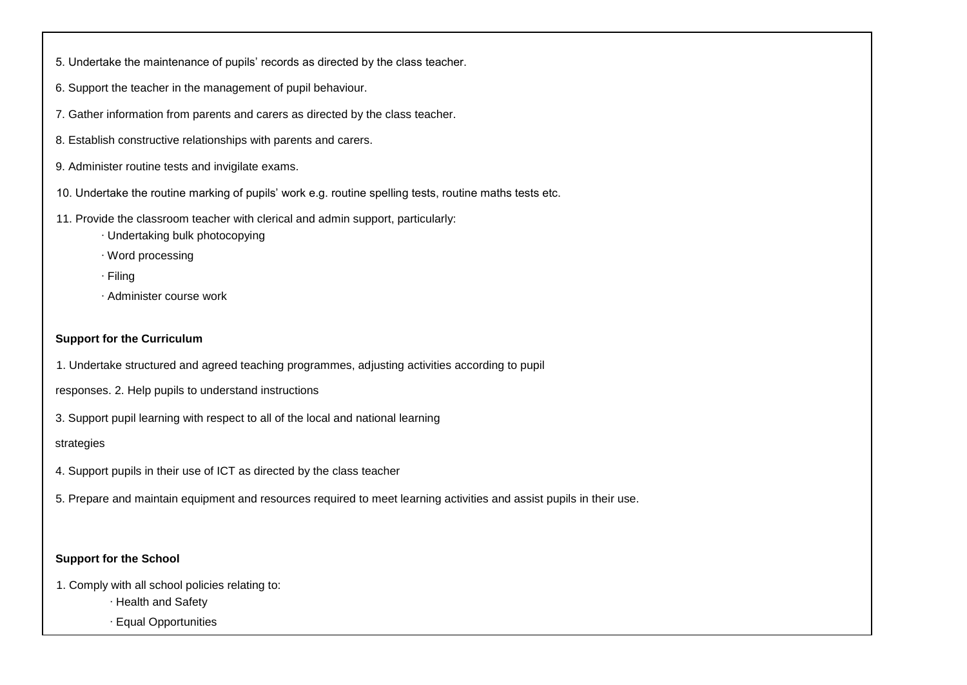- 5. Undertake the maintenance of pupils' records as directed by the class teacher.
- 6. Support the teacher in the management of pupil behaviour.
- 7. Gather information from parents and carers as directed by the class teacher.
- 8. Establish constructive relationships with parents and carers.
- 9. Administer routine tests and invigilate exams.
- 10. Undertake the routine marking of pupils' work e.g. routine spelling tests, routine maths tests etc.
- 11. Provide the classroom teacher with clerical and admin support, particularly:
	- ∙ Undertaking bulk photocopying
	- ∙ Word processing
	- ∙ Filing
	- ∙ Administer course work

### **Support for the Curriculum**

- 1. Undertake structured and agreed teaching programmes, adjusting activities according to pupil
- responses. 2. Help pupils to understand instructions
- 3. Support pupil learning with respect to all of the local and national learning

#### strategies

- 4. Support pupils in their use of ICT as directed by the class teacher
- 5. Prepare and maintain equipment and resources required to meet learning activities and assist pupils in their use.

#### **Support for the School**

- 1. Comply with all school policies relating to:
	- ∙ Health and Safety
	- ∙ Equal Opportunities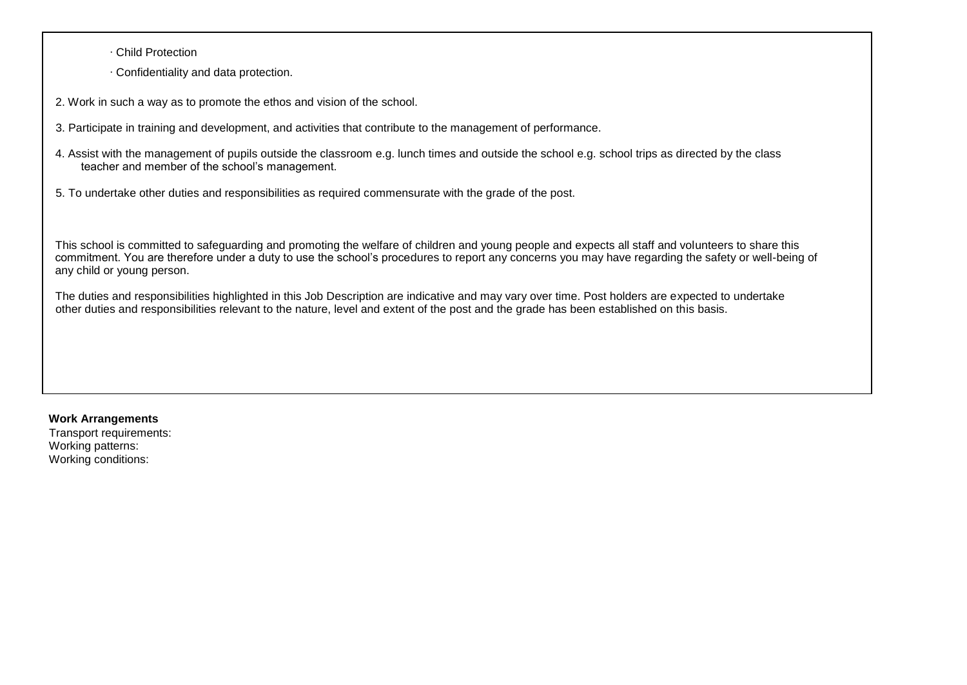∙ Child Protection

∙ Confidentiality and data protection.

2. Work in such a way as to promote the ethos and vision of the school.

- 3. Participate in training and development, and activities that contribute to the management of performance.
- 4. Assist with the management of pupils outside the classroom e.g. lunch times and outside the school e.g. school trips as directed by the class teacher and member of the school's management.
- 5. To undertake other duties and responsibilities as required commensurate with the grade of the post.

This school is committed to safeguarding and promoting the welfare of children and young people and expects all staff and volunteers to share this commitment. You are therefore under a duty to use the school's procedures to report any concerns you may have regarding the safety or well-being of any child or young person.

The duties and responsibilities highlighted in this Job Description are indicative and may vary over time. Post holders are expected to undertake other duties and responsibilities relevant to the nature, level and extent of the post and the grade has been established on this basis.

#### **Work Arrangements**

Transport requirements: Working patterns: Working conditions: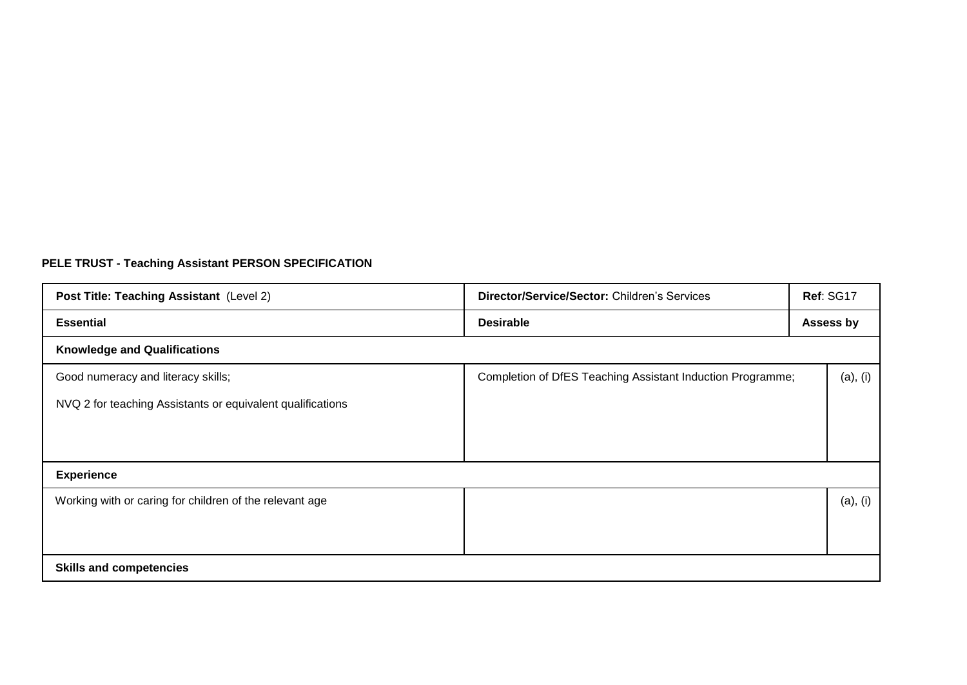# **PELE TRUST - Teaching Assistant PERSON SPECIFICATION**

| Post Title: Teaching Assistant (Level 2)                   | Director/Service/Sector: Children's Services               | Ref: SG17 |  |  |  |
|------------------------------------------------------------|------------------------------------------------------------|-----------|--|--|--|
| <b>Essential</b>                                           | <b>Desirable</b>                                           | Assess by |  |  |  |
| <b>Knowledge and Qualifications</b>                        |                                                            |           |  |  |  |
| Good numeracy and literacy skills;                         | Completion of DfES Teaching Assistant Induction Programme; | (a), (i)  |  |  |  |
| NVQ 2 for teaching Assistants or equivalent qualifications |                                                            |           |  |  |  |
|                                                            |                                                            |           |  |  |  |
|                                                            |                                                            |           |  |  |  |
| <b>Experience</b>                                          |                                                            |           |  |  |  |
| Working with or caring for children of the relevant age    |                                                            | (a), (i)  |  |  |  |
|                                                            |                                                            |           |  |  |  |
|                                                            |                                                            |           |  |  |  |
| <b>Skills and competencies</b>                             |                                                            |           |  |  |  |